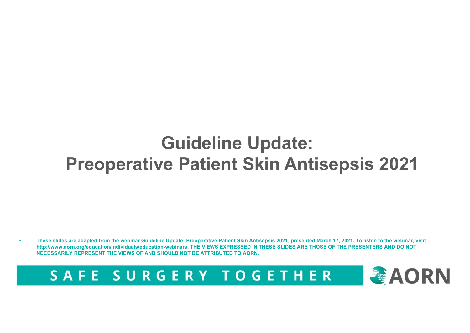#### **Guideline Update: Preoperative Patient Skin Antisepsis 2021**

• **These slides are adapted from the webinar Guideline Update: Preoperative Patient Skin Antisepsis 2021, presented March 17, 2021. To listen to the webinar, visit http://www.aorn.org/education/individuals/education-webinars. THE VIEWS EXPRESSED IN THESE SLIDES ARE THOSE OF THE PRESENTERS AND DO NOT NECESSARILY REPRESENT THE VIEWS OF AND SHOULD NOT BE ATTRIBUTED TO AORN.**

SAFE SURGERY TOGETHER

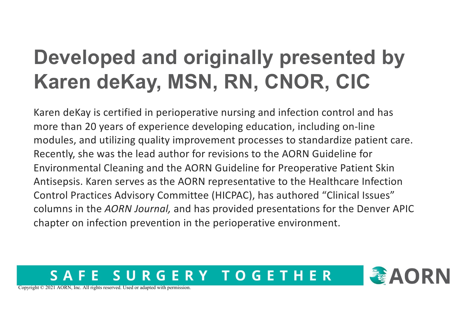### **Developed and originally presented by Karen deKay, MSN, RN, CNOR, CIC**

Karen deKay is certified in perioperative nursing and infection control and has more than 20 years of experience developing education, including on-line modules, and utilizing quality improvement processes to standardize patient care. Recently, she was the lead author for revisions to the AORN Guideline for Environmental Cleaning and the AORN Guideline for Preoperative Patient Skin Antisepsis. Karen serves as the AORN representative to the Healthcare Infection Control Practices Advisory Committee (HICPAC), has authored "Clinical Issues" columns in the *AORN Journal,* and has provided presentations for the Denver APIC chapter on infection prevention in the perioperative environment.

#### ERY TOGETHER R G



Copyright © 2021 AORN, Inc. All rights reserved. Used or adapted with permission.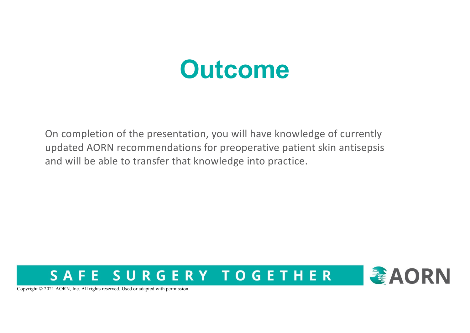## **Outcome**

On completion of the presentation, you will have knowledge of currently updated AORN recommendations for preoperative patient skin antisepsis and will be able to transfer that knowledge into practice.





Copyright © 2021 AORN, Inc. All rights reserved. Used or adapted with permission.